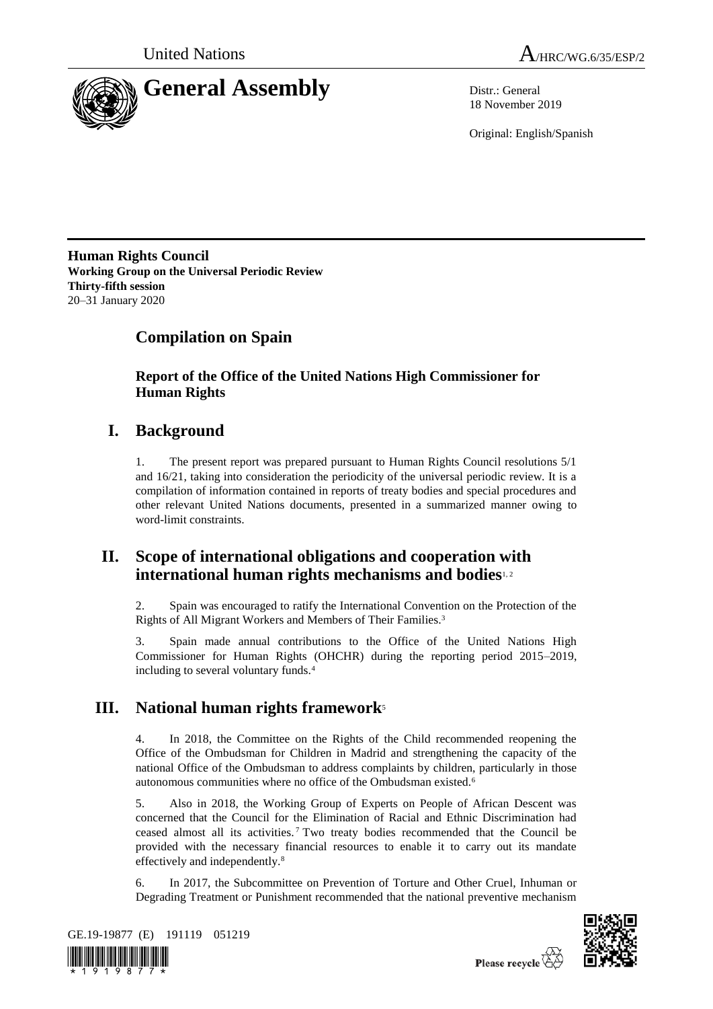



18 November 2019

Original: English/Spanish

**Human Rights Council Working Group on the Universal Periodic Review Thirty-fifth session** 20–31 January 2020

# **Compilation on Spain**

**Report of the Office of the United Nations High Commissioner for Human Rights**

# **I. Background**

1. The present report was prepared pursuant to Human Rights Council resolutions 5/1 and 16/21, taking into consideration the periodicity of the universal periodic review. It is a compilation of information contained in reports of treaty bodies and special procedures and other relevant United Nations documents, presented in a summarized manner owing to word-limit constraints.

## **II. Scope of international obligations and cooperation with international human rights mechanisms and bodies**1, 2

2. Spain was encouraged to ratify the International Convention on the Protection of the Rights of All Migrant Workers and Members of Their Families.<sup>3</sup>

3. Spain made annual contributions to the Office of the United Nations High Commissioner for Human Rights (OHCHR) during the reporting period 2015–2019, including to several voluntary funds.<sup>4</sup>

# **III. National human rights framework**<sup>5</sup>

4. In 2018, the Committee on the Rights of the Child recommended reopening the Office of the Ombudsman for Children in Madrid and strengthening the capacity of the national Office of the Ombudsman to address complaints by children, particularly in those autonomous communities where no office of the Ombudsman existed.<sup>6</sup>

5. Also in 2018, the Working Group of Experts on People of African Descent was concerned that the Council for the Elimination of Racial and Ethnic Discrimination had ceased almost all its activities. <sup>7</sup> Two treaty bodies recommended that the Council be provided with the necessary financial resources to enable it to carry out its mandate effectively and independently.<sup>8</sup>

6. In 2017, the Subcommittee on Prevention of Torture and Other Cruel, Inhuman or Degrading Treatment or Punishment recommended that the national preventive mechanism





Please recycle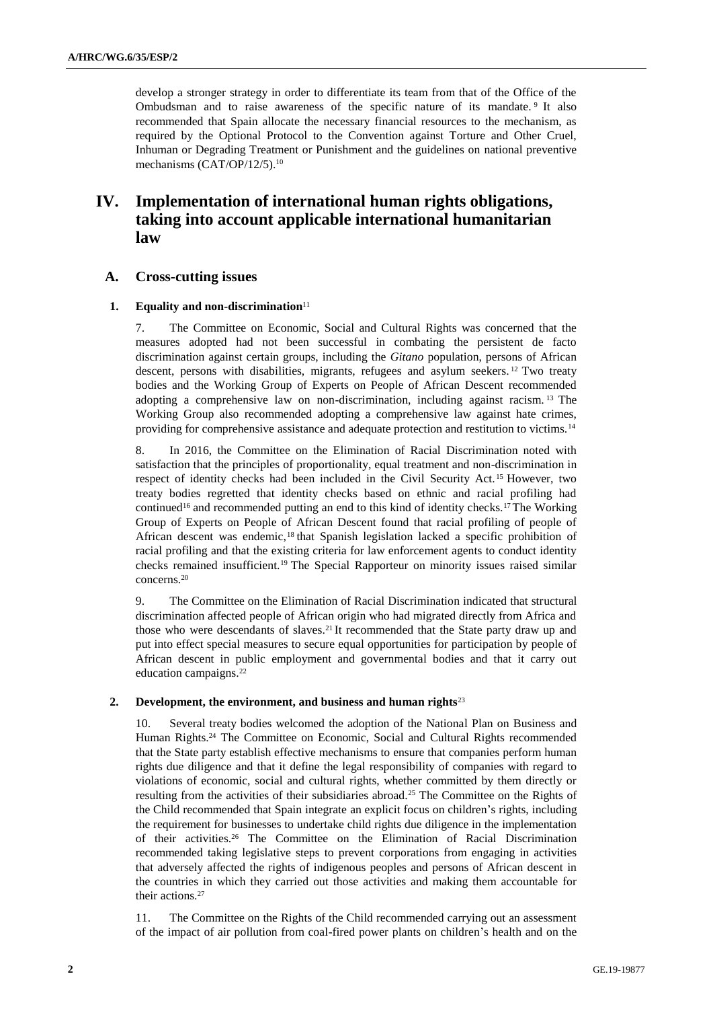develop a stronger strategy in order to differentiate its team from that of the Office of the Ombudsman and to raise awareness of the specific nature of its mandate. <sup>9</sup> It also recommended that Spain allocate the necessary financial resources to the mechanism, as required by the Optional Protocol to the Convention against Torture and Other Cruel, Inhuman or Degrading Treatment or Punishment and the guidelines on national preventive mechanisms (CAT/OP/12/5).<sup>10</sup>

## **IV. Implementation of international human rights obligations, taking into account applicable international humanitarian law**

## **A. Cross-cutting issues**

#### **1. Equality and non-discrimination**<sup>11</sup>

7. The Committee on Economic, Social and Cultural Rights was concerned that the measures adopted had not been successful in combating the persistent de facto discrimination against certain groups, including the *Gitano* population, persons of African descent, persons with disabilities, migrants, refugees and asylum seekers. <sup>12</sup> Two treaty bodies and the Working Group of Experts on People of African Descent recommended adopting a comprehensive law on non-discrimination, including against racism. <sup>13</sup> The Working Group also recommended adopting a comprehensive law against hate crimes, providing for comprehensive assistance and adequate protection and restitution to victims.<sup>14</sup>

8. In 2016, the Committee on the Elimination of Racial Discrimination noted with satisfaction that the principles of proportionality, equal treatment and non-discrimination in respect of identity checks had been included in the Civil Security Act. <sup>15</sup> However, two treaty bodies regretted that identity checks based on ethnic and racial profiling had continued<sup>16</sup> and recommended putting an end to this kind of identity checks.<sup>17</sup> The Working Group of Experts on People of African Descent found that racial profiling of people of African descent was endemic,<sup>18</sup> that Spanish legislation lacked a specific prohibition of racial profiling and that the existing criteria for law enforcement agents to conduct identity checks remained insufficient.<sup>19</sup> The Special Rapporteur on minority issues raised similar concerns.<sup>20</sup>

9. The Committee on the Elimination of Racial Discrimination indicated that structural discrimination affected people of African origin who had migrated directly from Africa and those who were descendants of slaves.<sup>21</sup> It recommended that the State party draw up and put into effect special measures to secure equal opportunities for participation by people of African descent in public employment and governmental bodies and that it carry out education campaigns.<sup>22</sup>

#### **2. Development, the environment, and business and human rights**<sup>23</sup>

10. Several treaty bodies welcomed the adoption of the National Plan on Business and Human Rights.<sup>24</sup> The Committee on Economic, Social and Cultural Rights recommended that the State party establish effective mechanisms to ensure that companies perform human rights due diligence and that it define the legal responsibility of companies with regard to violations of economic, social and cultural rights, whether committed by them directly or resulting from the activities of their subsidiaries abroad.<sup>25</sup> The Committee on the Rights of the Child recommended that Spain integrate an explicit focus on children's rights, including the requirement for businesses to undertake child rights due diligence in the implementation of their activities.<sup>26</sup> The Committee on the Elimination of Racial Discrimination recommended taking legislative steps to prevent corporations from engaging in activities that adversely affected the rights of indigenous peoples and persons of African descent in the countries in which they carried out those activities and making them accountable for their actions.<sup>27</sup>

11. The Committee on the Rights of the Child recommended carrying out an assessment of the impact of air pollution from coal-fired power plants on children's health and on the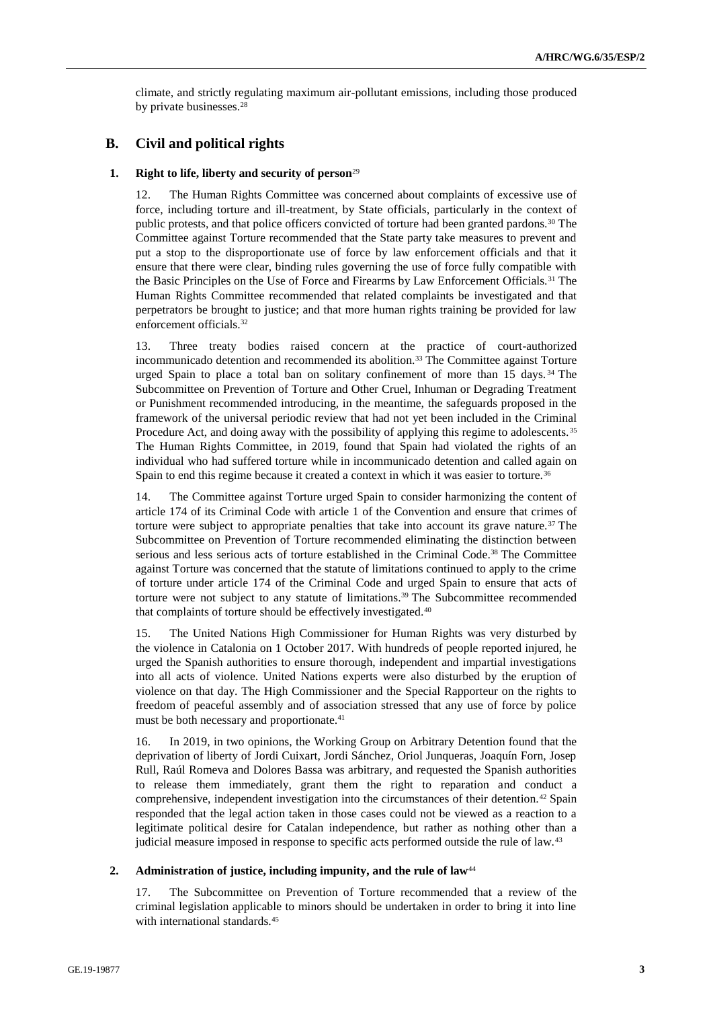climate, and strictly regulating maximum air-pollutant emissions, including those produced by private businesses.<sup>28</sup>

## **B. Civil and political rights**

#### **1. Right to life, liberty and security of person**<sup>29</sup>

12. The Human Rights Committee was concerned about complaints of excessive use of force, including torture and ill-treatment, by State officials, particularly in the context of public protests, and that police officers convicted of torture had been granted pardons.<sup>30</sup> The Committee against Torture recommended that the State party take measures to prevent and put a stop to the disproportionate use of force by law enforcement officials and that it ensure that there were clear, binding rules governing the use of force fully compatible with the Basic Principles on the Use of Force and Firearms by Law Enforcement Officials.<sup>31</sup> The Human Rights Committee recommended that related complaints be investigated and that perpetrators be brought to justice; and that more human rights training be provided for law enforcement officials.<sup>32</sup>

13. Three treaty bodies raised concern at the practice of court-authorized incommunicado detention and recommended its abolition.<sup>33</sup> The Committee against Torture urged Spain to place a total ban on solitary confinement of more than 15 days. <sup>34</sup> The Subcommittee on Prevention of Torture and Other Cruel, Inhuman or Degrading Treatment or Punishment recommended introducing, in the meantime, the safeguards proposed in the framework of the universal periodic review that had not yet been included in the Criminal Procedure Act, and doing away with the possibility of applying this regime to adolescents.<sup>35</sup> The Human Rights Committee, in 2019, found that Spain had violated the rights of an individual who had suffered torture while in incommunicado detention and called again on Spain to end this regime because it created a context in which it was easier to torture.<sup>36</sup>

14. The Committee against Torture urged Spain to consider harmonizing the content of article 174 of its Criminal Code with article 1 of the Convention and ensure that crimes of torture were subject to appropriate penalties that take into account its grave nature.<sup>37</sup> The Subcommittee on Prevention of Torture recommended eliminating the distinction between serious and less serious acts of torture established in the Criminal Code.<sup>38</sup> The Committee against Torture was concerned that the statute of limitations continued to apply to the crime of torture under article 174 of the Criminal Code and urged Spain to ensure that acts of torture were not subject to any statute of limitations.<sup>39</sup> The Subcommittee recommended that complaints of torture should be effectively investigated.<sup>40</sup>

15. The United Nations High Commissioner for Human Rights was very disturbed by the violence in Catalonia on 1 October 2017. With hundreds of people reported injured, he urged the Spanish authorities to ensure thorough, independent and impartial investigations into all acts of violence. United Nations experts were also disturbed by the eruption of violence on that day. The High Commissioner and the Special Rapporteur on the rights to freedom of peaceful assembly and of association stressed that any use of force by police must be both necessary and proportionate.<sup>41</sup>

16. In 2019, in two opinions, the Working Group on Arbitrary Detention found that the deprivation of liberty of Jordi Cuixart, Jordi Sánchez, Oriol Junqueras, Joaquín Forn, Josep Rull, Raúl Romeva and Dolores Bassa was arbitrary, and requested the Spanish authorities to release them immediately, grant them the right to reparation and conduct a comprehensive, independent investigation into the circumstances of their detention.<sup>42</sup> Spain responded that the legal action taken in those cases could not be viewed as a reaction to a legitimate political desire for Catalan independence, but rather as nothing other than a judicial measure imposed in response to specific acts performed outside the rule of law.<sup>43</sup>

#### 2. **Administration of justice, including impunity, and the rule of law<sup>44</sup>**

17. The Subcommittee on Prevention of Torture recommended that a review of the criminal legislation applicable to minors should be undertaken in order to bring it into line with international standards.<sup>45</sup>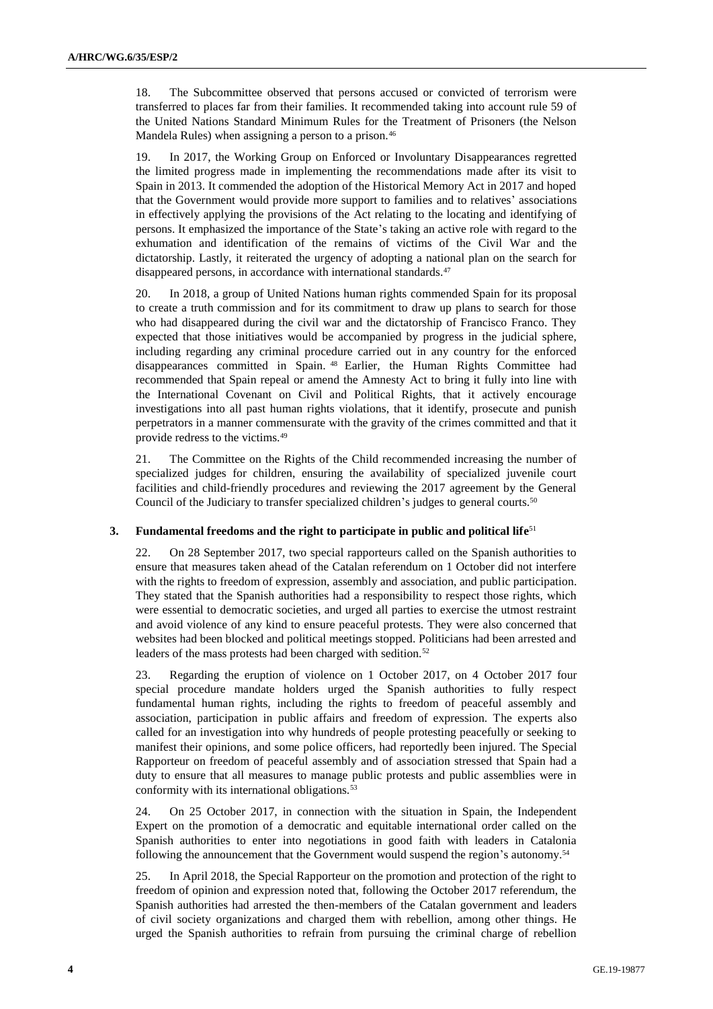18. The Subcommittee observed that persons accused or convicted of terrorism were transferred to places far from their families. It recommended taking into account rule 59 of the United Nations Standard Minimum Rules for the Treatment of Prisoners (the Nelson Mandela Rules) when assigning a person to a prison.<sup>46</sup>

19. In 2017, the Working Group on Enforced or Involuntary Disappearances regretted the limited progress made in implementing the recommendations made after its visit to Spain in 2013. It commended the adoption of the Historical Memory Act in 2017 and hoped that the Government would provide more support to families and to relatives' associations in effectively applying the provisions of the Act relating to the locating and identifying of persons. It emphasized the importance of the State's taking an active role with regard to the exhumation and identification of the remains of victims of the Civil War and the dictatorship. Lastly, it reiterated the urgency of adopting a national plan on the search for disappeared persons, in accordance with international standards.<sup>47</sup>

20. In 2018, a group of United Nations human rights commended Spain for its proposal to create a truth commission and for its commitment to draw up plans to search for those who had disappeared during the civil war and the dictatorship of Francisco Franco. They expected that those initiatives would be accompanied by progress in the judicial sphere, including regarding any criminal procedure carried out in any country for the enforced disappearances committed in Spain. <sup>48</sup> Earlier, the Human Rights Committee had recommended that Spain repeal or amend the Amnesty Act to bring it fully into line with the International Covenant on Civil and Political Rights, that it actively encourage investigations into all past human rights violations, that it identify, prosecute and punish perpetrators in a manner commensurate with the gravity of the crimes committed and that it provide redress to the victims.<sup>49</sup>

21. The Committee on the Rights of the Child recommended increasing the number of specialized judges for children, ensuring the availability of specialized juvenile court facilities and child-friendly procedures and reviewing the 2017 agreement by the General Council of the Judiciary to transfer specialized children's judges to general courts.<sup>50</sup>

## **3. Fundamental freedoms and the right to participate in public and political life** 51

22. On 28 September 2017, two special rapporteurs called on the Spanish authorities to ensure that measures taken ahead of the Catalan referendum on 1 October did not interfere with the rights to freedom of expression, assembly and association, and public participation. They stated that the Spanish authorities had a responsibility to respect those rights, which were essential to democratic societies, and urged all parties to exercise the utmost restraint and avoid violence of any kind to ensure peaceful protests. They were also concerned that websites had been blocked and political meetings stopped. Politicians had been arrested and leaders of the mass protests had been charged with sedition.<sup>52</sup>

23. Regarding the eruption of violence on 1 October 2017, on 4 October 2017 four special procedure mandate holders urged the Spanish authorities to fully respect fundamental human rights, including the rights to freedom of peaceful assembly and association, participation in public affairs and freedom of expression. The experts also called for an investigation into why hundreds of people protesting peacefully or seeking to manifest their opinions, and some police officers, had reportedly been injured. The Special Rapporteur on freedom of peaceful assembly and of association stressed that Spain had a duty to ensure that all measures to manage public protests and public assemblies were in conformity with its international obligations.<sup>53</sup>

24. On 25 October 2017, in connection with the situation in Spain, the Independent Expert on the promotion of a democratic and equitable international order called on the Spanish authorities to enter into negotiations in good faith with leaders in Catalonia following the announcement that the Government would suspend the region's autonomy.<sup>54</sup>

25. In April 2018, the Special Rapporteur on the promotion and protection of the right to freedom of opinion and expression noted that, following the October 2017 referendum, the Spanish authorities had arrested the then-members of the Catalan government and leaders of civil society organizations and charged them with rebellion, among other things. He urged the Spanish authorities to refrain from pursuing the criminal charge of rebellion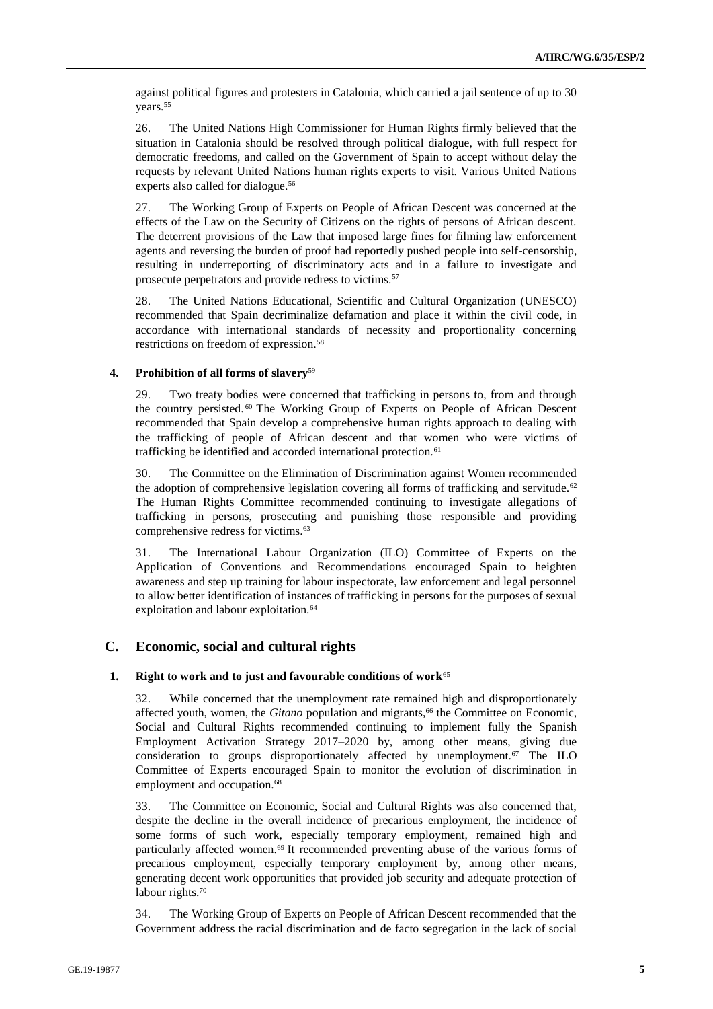against political figures and protesters in Catalonia, which carried a jail sentence of up to 30 years.<sup>55</sup>

26. The United Nations High Commissioner for Human Rights firmly believed that the situation in Catalonia should be resolved through political dialogue, with full respect for democratic freedoms, and called on the Government of Spain to accept without delay the requests by relevant United Nations human rights experts to visit. Various United Nations experts also called for dialogue.<sup>56</sup>

27. The Working Group of Experts on People of African Descent was concerned at the effects of the Law on the Security of Citizens on the rights of persons of African descent. The deterrent provisions of the Law that imposed large fines for filming law enforcement agents and reversing the burden of proof had reportedly pushed people into self-censorship, resulting in underreporting of discriminatory acts and in a failure to investigate and prosecute perpetrators and provide redress to victims.<sup>57</sup>

28. The United Nations Educational, Scientific and Cultural Organization (UNESCO) recommended that Spain decriminalize defamation and place it within the civil code, in accordance with international standards of necessity and proportionality concerning restrictions on freedom of expression.<sup>58</sup>

#### **4. Prohibition of all forms of slavery**<sup>59</sup>

29. Two treaty bodies were concerned that trafficking in persons to, from and through the country persisted.<sup>60</sup> The Working Group of Experts on People of African Descent recommended that Spain develop a comprehensive human rights approach to dealing with the trafficking of people of African descent and that women who were victims of trafficking be identified and accorded international protection.<sup>61</sup>

30. The Committee on the Elimination of Discrimination against Women recommended the adoption of comprehensive legislation covering all forms of trafficking and servitude.<sup>62</sup> The Human Rights Committee recommended continuing to investigate allegations of trafficking in persons, prosecuting and punishing those responsible and providing comprehensive redress for victims.<sup>63</sup>

31. The International Labour Organization (ILO) Committee of Experts on the Application of Conventions and Recommendations encouraged Spain to heighten awareness and step up training for labour inspectorate, law enforcement and legal personnel to allow better identification of instances of trafficking in persons for the purposes of sexual exploitation and labour exploitation.<sup>64</sup>

## **C. Economic, social and cultural rights**

#### **1. Right to work and to just and favourable conditions of work**<sup>65</sup>

32. While concerned that the unemployment rate remained high and disproportionately affected youth, women, the *Gitano* population and migrants,<sup>66</sup> the Committee on Economic, Social and Cultural Rights recommended continuing to implement fully the Spanish Employment Activation Strategy 2017–2020 by, among other means, giving due consideration to groups disproportionately affected by unemployment.<sup>67</sup> The ILO Committee of Experts encouraged Spain to monitor the evolution of discrimination in employment and occupation.<sup>68</sup>

33. The Committee on Economic, Social and Cultural Rights was also concerned that, despite the decline in the overall incidence of precarious employment, the incidence of some forms of such work, especially temporary employment, remained high and particularly affected women.<sup>69</sup> It recommended preventing abuse of the various forms of precarious employment, especially temporary employment by, among other means, generating decent work opportunities that provided job security and adequate protection of labour rights.<sup>70</sup>

34. The Working Group of Experts on People of African Descent recommended that the Government address the racial discrimination and de facto segregation in the lack of social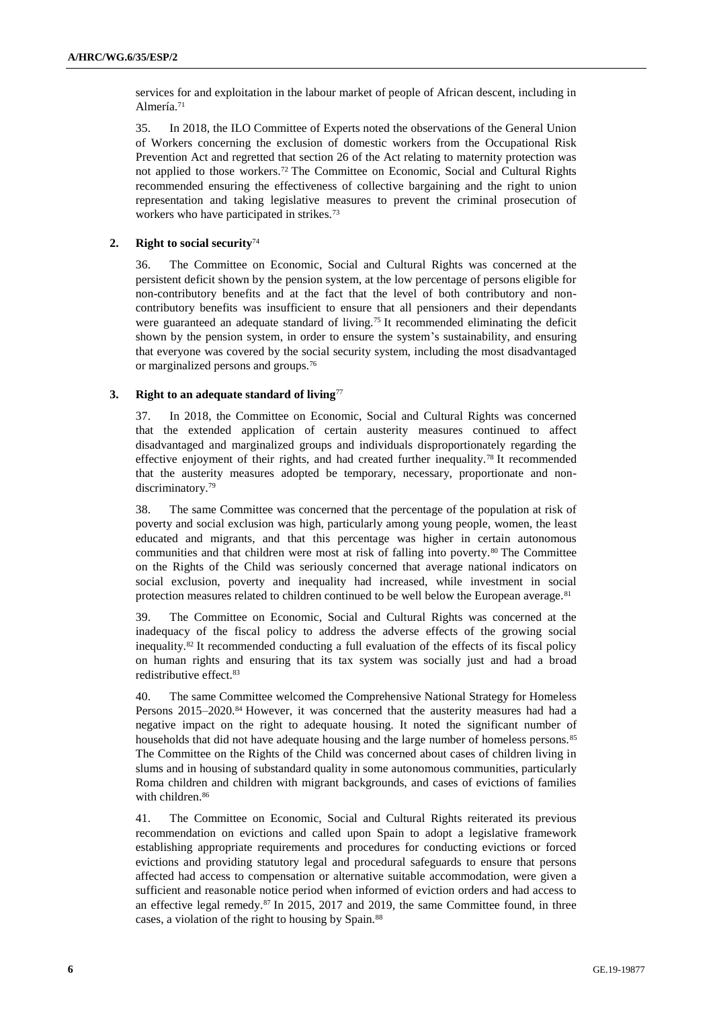services for and exploitation in the labour market of people of African descent, including in Almería.<sup>71</sup>

35. In 2018, the ILO Committee of Experts noted the observations of the General Union of Workers concerning the exclusion of domestic workers from the Occupational Risk Prevention Act and regretted that section 26 of the Act relating to maternity protection was not applied to those workers.<sup>72</sup> The Committee on Economic, Social and Cultural Rights recommended ensuring the effectiveness of collective bargaining and the right to union representation and taking legislative measures to prevent the criminal prosecution of workers who have participated in strikes.<sup>73</sup>

#### **2. Right to social security**<sup>74</sup>

36. The Committee on Economic, Social and Cultural Rights was concerned at the persistent deficit shown by the pension system, at the low percentage of persons eligible for non-contributory benefits and at the fact that the level of both contributory and noncontributory benefits was insufficient to ensure that all pensioners and their dependants were guaranteed an adequate standard of living.<sup>75</sup> It recommended eliminating the deficit shown by the pension system, in order to ensure the system's sustainability, and ensuring that everyone was covered by the social security system, including the most disadvantaged or marginalized persons and groups.<sup>76</sup>

#### **3. Right to an adequate standard of living**<sup>77</sup>

37. In 2018, the Committee on Economic, Social and Cultural Rights was concerned that the extended application of certain austerity measures continued to affect disadvantaged and marginalized groups and individuals disproportionately regarding the effective enjoyment of their rights, and had created further inequality.<sup>78</sup> It recommended that the austerity measures adopted be temporary, necessary, proportionate and nondiscriminatory.<sup>79</sup>

38. The same Committee was concerned that the percentage of the population at risk of poverty and social exclusion was high, particularly among young people, women, the least educated and migrants, and that this percentage was higher in certain autonomous communities and that children were most at risk of falling into poverty.<sup>80</sup> The Committee on the Rights of the Child was seriously concerned that average national indicators on social exclusion, poverty and inequality had increased, while investment in social protection measures related to children continued to be well below the European average.<sup>81</sup>

39. The Committee on Economic, Social and Cultural Rights was concerned at the inadequacy of the fiscal policy to address the adverse effects of the growing social inequality.<sup>82</sup> It recommended conducting a full evaluation of the effects of its fiscal policy on human rights and ensuring that its tax system was socially just and had a broad redistributive effect.<sup>83</sup>

40. The same Committee welcomed the Comprehensive National Strategy for Homeless Persons 2015–2020.<sup>84</sup> However, it was concerned that the austerity measures had had a negative impact on the right to adequate housing. It noted the significant number of households that did not have adequate housing and the large number of homeless persons.<sup>85</sup> The Committee on the Rights of the Child was concerned about cases of children living in slums and in housing of substandard quality in some autonomous communities, particularly Roma children and children with migrant backgrounds, and cases of evictions of families with children.<sup>86</sup>

41. The Committee on Economic, Social and Cultural Rights reiterated its previous recommendation on evictions and called upon Spain to adopt a legislative framework establishing appropriate requirements and procedures for conducting evictions or forced evictions and providing statutory legal and procedural safeguards to ensure that persons affected had access to compensation or alternative suitable accommodation, were given a sufficient and reasonable notice period when informed of eviction orders and had access to an effective legal remedy.<sup>87</sup> In 2015, 2017 and 2019, the same Committee found, in three cases, a violation of the right to housing by Spain.88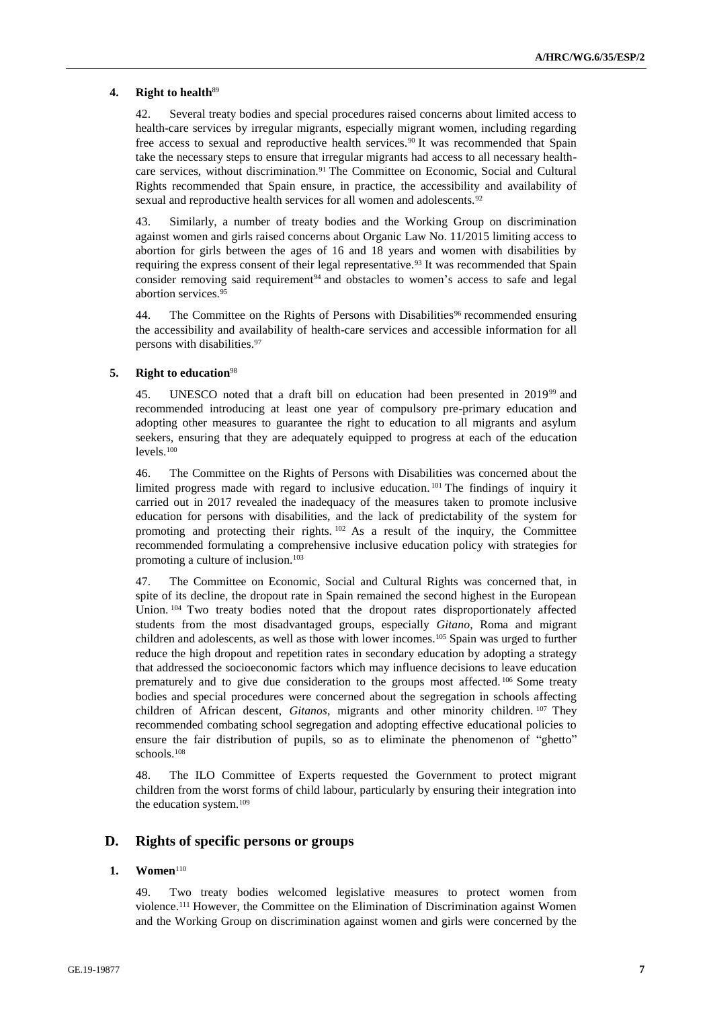#### **4. Right to health**<sup>89</sup>

42. Several treaty bodies and special procedures raised concerns about limited access to health-care services by irregular migrants, especially migrant women, including regarding free access to sexual and reproductive health services.<sup>90</sup> It was recommended that Spain take the necessary steps to ensure that irregular migrants had access to all necessary healthcare services, without discrimination.<sup>91</sup> The Committee on Economic, Social and Cultural Rights recommended that Spain ensure, in practice, the accessibility and availability of sexual and reproductive health services for all women and adolescents.<sup>92</sup>

43. Similarly, a number of treaty bodies and the Working Group on discrimination against women and girls raised concerns about Organic Law No. 11/2015 limiting access to abortion for girls between the ages of 16 and 18 years and women with disabilities by requiring the express consent of their legal representative.<sup>93</sup> It was recommended that Spain consider removing said requirement $94$  and obstacles to women's access to safe and legal abortion services.<sup>95</sup>

44. The Committee on the Rights of Persons with Disabilities<sup>96</sup> recommended ensuring the accessibility and availability of health-care services and accessible information for all persons with disabilities.<sup>97</sup>

#### **5. Right to education**<sup>98</sup>

45. UNESCO noted that a draft bill on education had been presented in 2019<sup>99</sup> and recommended introducing at least one year of compulsory pre-primary education and adopting other measures to guarantee the right to education to all migrants and asylum seekers, ensuring that they are adequately equipped to progress at each of the education levels.<sup>100</sup>

46. The Committee on the Rights of Persons with Disabilities was concerned about the limited progress made with regard to inclusive education. <sup>101</sup> The findings of inquiry it carried out in 2017 revealed the inadequacy of the measures taken to promote inclusive education for persons with disabilities, and the lack of predictability of the system for promoting and protecting their rights. <sup>102</sup> As a result of the inquiry, the Committee recommended formulating a comprehensive inclusive education policy with strategies for promoting a culture of inclusion.<sup>103</sup>

47. The Committee on Economic, Social and Cultural Rights was concerned that, in spite of its decline, the dropout rate in Spain remained the second highest in the European Union. <sup>104</sup> Two treaty bodies noted that the dropout rates disproportionately affected students from the most disadvantaged groups, especially *Gitano*, Roma and migrant children and adolescents, as well as those with lower incomes.<sup>105</sup> Spain was urged to further reduce the high dropout and repetition rates in secondary education by adopting a strategy that addressed the socioeconomic factors which may influence decisions to leave education prematurely and to give due consideration to the groups most affected. <sup>106</sup> Some treaty bodies and special procedures were concerned about the segregation in schools affecting children of African descent, *Gitanos*, migrants and other minority children. <sup>107</sup> They recommended combating school segregation and adopting effective educational policies to ensure the fair distribution of pupils, so as to eliminate the phenomenon of "ghetto" schools.<sup>108</sup>

48. The ILO Committee of Experts requested the Government to protect migrant children from the worst forms of child labour, particularly by ensuring their integration into the education system.<sup>109</sup>

## **D. Rights of specific persons or groups**

#### **1. Women**<sup>110</sup>

49. Two treaty bodies welcomed legislative measures to protect women from violence.<sup>111</sup> However, the Committee on the Elimination of Discrimination against Women and the Working Group on discrimination against women and girls were concerned by the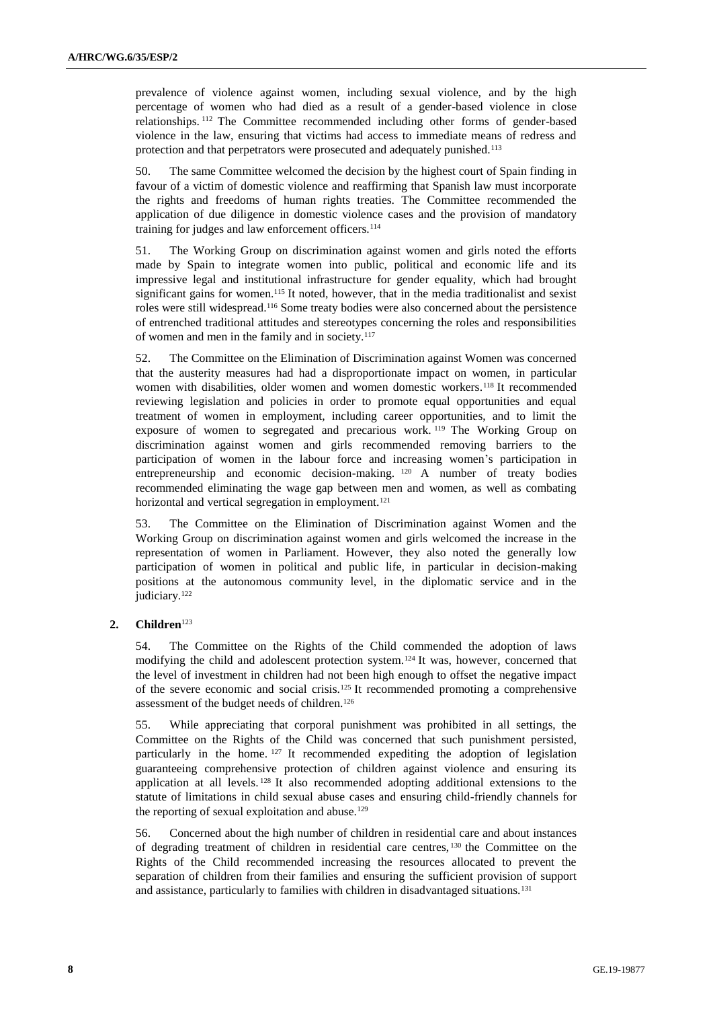prevalence of violence against women, including sexual violence, and by the high percentage of women who had died as a result of a gender-based violence in close relationships. <sup>112</sup> The Committee recommended including other forms of gender-based violence in the law, ensuring that victims had access to immediate means of redress and protection and that perpetrators were prosecuted and adequately punished.<sup>113</sup>

50. The same Committee welcomed the decision by the highest court of Spain finding in favour of a victim of domestic violence and reaffirming that Spanish law must incorporate the rights and freedoms of human rights treaties. The Committee recommended the application of due diligence in domestic violence cases and the provision of mandatory training for judges and law enforcement officers.<sup>114</sup>

51. The Working Group on discrimination against women and girls noted the efforts made by Spain to integrate women into public, political and economic life and its impressive legal and institutional infrastructure for gender equality, which had brought significant gains for women.<sup>115</sup> It noted, however, that in the media traditionalist and sexist roles were still widespread.<sup>116</sup> Some treaty bodies were also concerned about the persistence of entrenched traditional attitudes and stereotypes concerning the roles and responsibilities of women and men in the family and in society.<sup>117</sup>

52. The Committee on the Elimination of Discrimination against Women was concerned that the austerity measures had had a disproportionate impact on women, in particular women with disabilities, older women and women domestic workers.<sup>118</sup> It recommended reviewing legislation and policies in order to promote equal opportunities and equal treatment of women in employment, including career opportunities, and to limit the exposure of women to segregated and precarious work.<sup>119</sup> The Working Group on discrimination against women and girls recommended removing barriers to the participation of women in the labour force and increasing women's participation in entrepreneurship and economic decision-making. <sup>120</sup> A number of treaty bodies recommended eliminating the wage gap between men and women, as well as combating horizontal and vertical segregation in employment.<sup>121</sup>

53. The Committee on the Elimination of Discrimination against Women and the Working Group on discrimination against women and girls welcomed the increase in the representation of women in Parliament. However, they also noted the generally low participation of women in political and public life, in particular in decision-making positions at the autonomous community level, in the diplomatic service and in the judiciary.<sup>122</sup>

#### **2. Children**<sup>123</sup>

54. The Committee on the Rights of the Child commended the adoption of laws modifying the child and adolescent protection system.<sup>124</sup> It was, however, concerned that the level of investment in children had not been high enough to offset the negative impact of the severe economic and social crisis.<sup>125</sup> It recommended promoting a comprehensive assessment of the budget needs of children.<sup>126</sup>

55. While appreciating that corporal punishment was prohibited in all settings, the Committee on the Rights of the Child was concerned that such punishment persisted, particularly in the home. <sup>127</sup> It recommended expediting the adoption of legislation guaranteeing comprehensive protection of children against violence and ensuring its application at all levels. <sup>128</sup> It also recommended adopting additional extensions to the statute of limitations in child sexual abuse cases and ensuring child-friendly channels for the reporting of sexual exploitation and abuse.<sup>129</sup>

56. Concerned about the high number of children in residential care and about instances of degrading treatment of children in residential care centres, <sup>130</sup> the Committee on the Rights of the Child recommended increasing the resources allocated to prevent the separation of children from their families and ensuring the sufficient provision of support and assistance, particularly to families with children in disadvantaged situations.131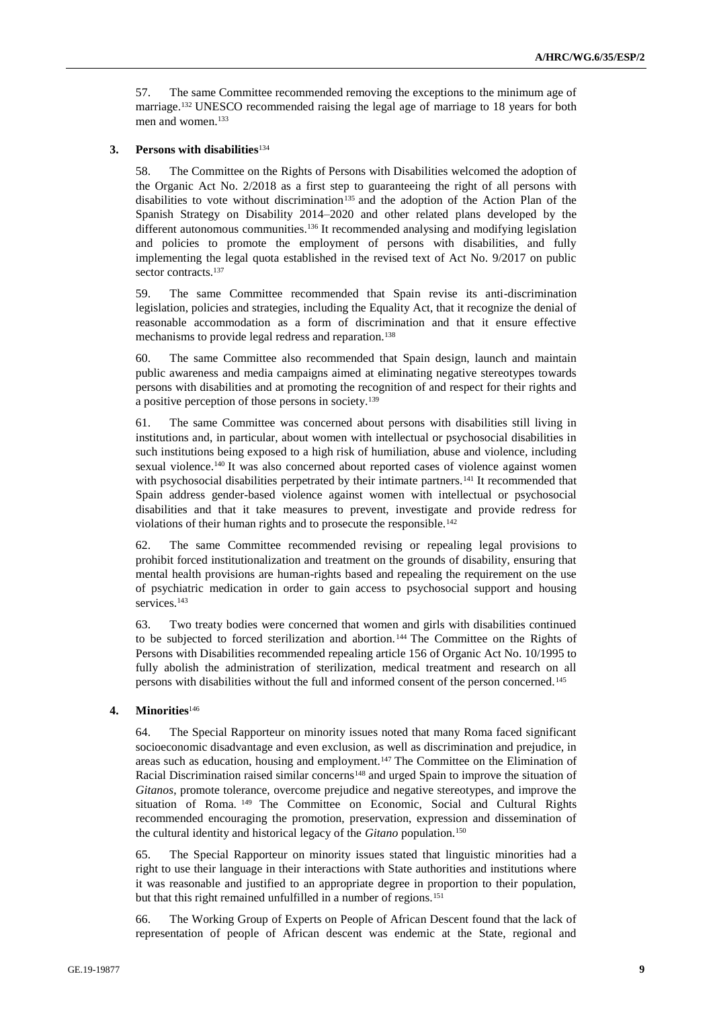57. The same Committee recommended removing the exceptions to the minimum age of marriage.<sup>132</sup> UNESCO recommended raising the legal age of marriage to 18 years for both men and women.<sup>133</sup>

#### **3. Persons with disabilities**<sup>134</sup>

58. The Committee on the Rights of Persons with Disabilities welcomed the adoption of the Organic Act No. 2/2018 as a first step to guaranteeing the right of all persons with disabilities to vote without discrimination<sup>135</sup> and the adoption of the Action Plan of the Spanish Strategy on Disability 2014–2020 and other related plans developed by the different autonomous communities.<sup>136</sup> It recommended analysing and modifying legislation and policies to promote the employment of persons with disabilities, and fully implementing the legal quota established in the revised text of Act No. 9/2017 on public sector contracts.<sup>137</sup>

59. The same Committee recommended that Spain revise its anti-discrimination legislation, policies and strategies, including the Equality Act, that it recognize the denial of reasonable accommodation as a form of discrimination and that it ensure effective mechanisms to provide legal redress and reparation.<sup>138</sup>

60. The same Committee also recommended that Spain design, launch and maintain public awareness and media campaigns aimed at eliminating negative stereotypes towards persons with disabilities and at promoting the recognition of and respect for their rights and a positive perception of those persons in society.<sup>139</sup>

61. The same Committee was concerned about persons with disabilities still living in institutions and, in particular, about women with intellectual or psychosocial disabilities in such institutions being exposed to a high risk of humiliation, abuse and violence, including sexual violence.<sup>140</sup> It was also concerned about reported cases of violence against women with psychosocial disabilities perpetrated by their intimate partners.<sup>141</sup> It recommended that Spain address gender-based violence against women with intellectual or psychosocial disabilities and that it take measures to prevent, investigate and provide redress for violations of their human rights and to prosecute the responsible.<sup>142</sup>

62. The same Committee recommended revising or repealing legal provisions to prohibit forced institutionalization and treatment on the grounds of disability, ensuring that mental health provisions are human-rights based and repealing the requirement on the use of psychiatric medication in order to gain access to psychosocial support and housing services.<sup>143</sup>

63. Two treaty bodies were concerned that women and girls with disabilities continued to be subjected to forced sterilization and abortion. <sup>144</sup> The Committee on the Rights of Persons with Disabilities recommended repealing article 156 of Organic Act No. 10/1995 to fully abolish the administration of sterilization, medical treatment and research on all persons with disabilities without the full and informed consent of the person concerned.<sup>145</sup>

#### **4. Minorities**<sup>146</sup>

64. The Special Rapporteur on minority issues noted that many Roma faced significant socioeconomic disadvantage and even exclusion, as well as discrimination and prejudice, in areas such as education, housing and employment.<sup>147</sup> The Committee on the Elimination of Racial Discrimination raised similar concerns<sup>148</sup> and urged Spain to improve the situation of *Gitanos*, promote tolerance, overcome prejudice and negative stereotypes, and improve the situation of Roma. <sup>149</sup> The Committee on Economic, Social and Cultural Rights recommended encouraging the promotion, preservation, expression and dissemination of the cultural identity and historical legacy of the *Gitano* population.<sup>150</sup>

65. The Special Rapporteur on minority issues stated that linguistic minorities had a right to use their language in their interactions with State authorities and institutions where it was reasonable and justified to an appropriate degree in proportion to their population, but that this right remained unfulfilled in a number of regions.<sup>151</sup>

66. The Working Group of Experts on People of African Descent found that the lack of representation of people of African descent was endemic at the State, regional and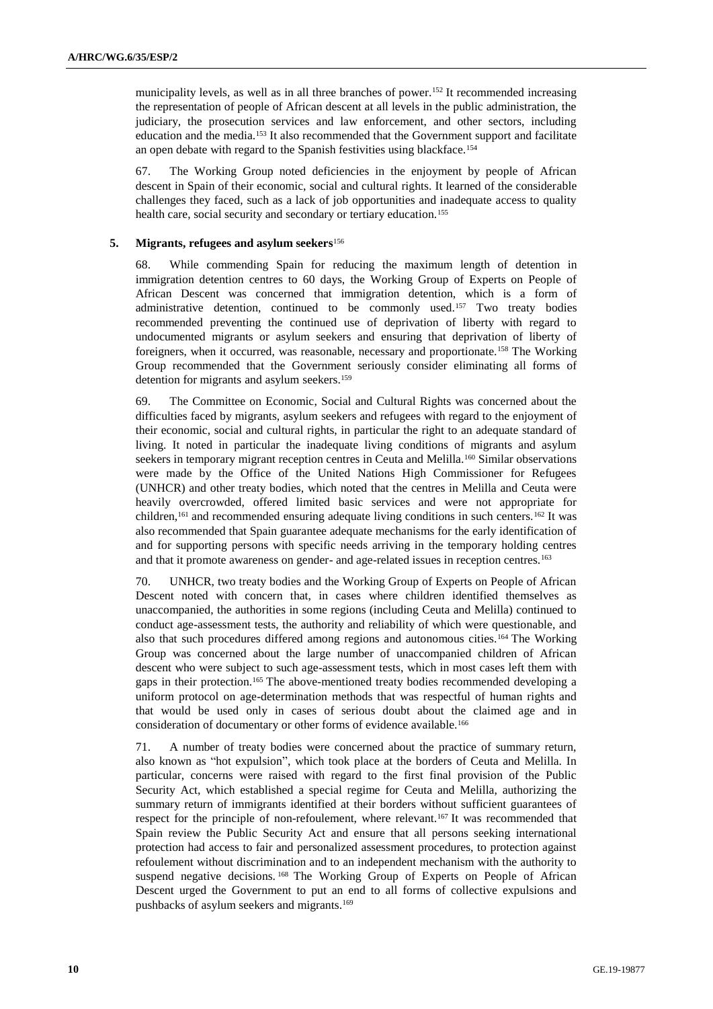municipality levels, as well as in all three branches of power.<sup>152</sup> It recommended increasing the representation of people of African descent at all levels in the public administration, the judiciary, the prosecution services and law enforcement, and other sectors, including education and the media.<sup>153</sup> It also recommended that the Government support and facilitate an open debate with regard to the Spanish festivities using blackface.<sup>154</sup>

67. The Working Group noted deficiencies in the enjoyment by people of African descent in Spain of their economic, social and cultural rights. It learned of the considerable challenges they faced, such as a lack of job opportunities and inadequate access to quality health care, social security and secondary or tertiary education.<sup>155</sup>

#### **5. Migrants, refugees and asylum seekers**<sup>156</sup>

68. While commending Spain for reducing the maximum length of detention in immigration detention centres to 60 days, the Working Group of Experts on People of African Descent was concerned that immigration detention, which is a form of administrative detention, continued to be commonly used.<sup>157</sup> Two treaty bodies recommended preventing the continued use of deprivation of liberty with regard to undocumented migrants or asylum seekers and ensuring that deprivation of liberty of foreigners, when it occurred, was reasonable, necessary and proportionate.<sup>158</sup> The Working Group recommended that the Government seriously consider eliminating all forms of detention for migrants and asylum seekers.<sup>159</sup>

69. The Committee on Economic, Social and Cultural Rights was concerned about the difficulties faced by migrants, asylum seekers and refugees with regard to the enjoyment of their economic, social and cultural rights, in particular the right to an adequate standard of living. It noted in particular the inadequate living conditions of migrants and asylum seekers in temporary migrant reception centres in Ceuta and Melilla.<sup>160</sup> Similar observations were made by the Office of the United Nations High Commissioner for Refugees (UNHCR) and other treaty bodies, which noted that the centres in Melilla and Ceuta were heavily overcrowded, offered limited basic services and were not appropriate for children,<sup>161</sup> and recommended ensuring adequate living conditions in such centers.<sup>162</sup> It was also recommended that Spain guarantee adequate mechanisms for the early identification of and for supporting persons with specific needs arriving in the temporary holding centres and that it promote awareness on gender- and age-related issues in reception centres.<sup>163</sup>

70. UNHCR, two treaty bodies and the Working Group of Experts on People of African Descent noted with concern that, in cases where children identified themselves as unaccompanied, the authorities in some regions (including Ceuta and Melilla) continued to conduct age-assessment tests, the authority and reliability of which were questionable, and also that such procedures differed among regions and autonomous cities.<sup>164</sup> The Working Group was concerned about the large number of unaccompanied children of African descent who were subject to such age-assessment tests, which in most cases left them with gaps in their protection.<sup>165</sup> The above-mentioned treaty bodies recommended developing a uniform protocol on age-determination methods that was respectful of human rights and that would be used only in cases of serious doubt about the claimed age and in consideration of documentary or other forms of evidence available.<sup>166</sup>

71. A number of treaty bodies were concerned about the practice of summary return, also known as "hot expulsion", which took place at the borders of Ceuta and Melilla. In particular, concerns were raised with regard to the first final provision of the Public Security Act, which established a special regime for Ceuta and Melilla, authorizing the summary return of immigrants identified at their borders without sufficient guarantees of respect for the principle of non-refoulement, where relevant.<sup>167</sup> It was recommended that Spain review the Public Security Act and ensure that all persons seeking international protection had access to fair and personalized assessment procedures, to protection against refoulement without discrimination and to an independent mechanism with the authority to suspend negative decisions.<sup>168</sup> The Working Group of Experts on People of African Descent urged the Government to put an end to all forms of collective expulsions and pushbacks of asylum seekers and migrants.<sup>169</sup>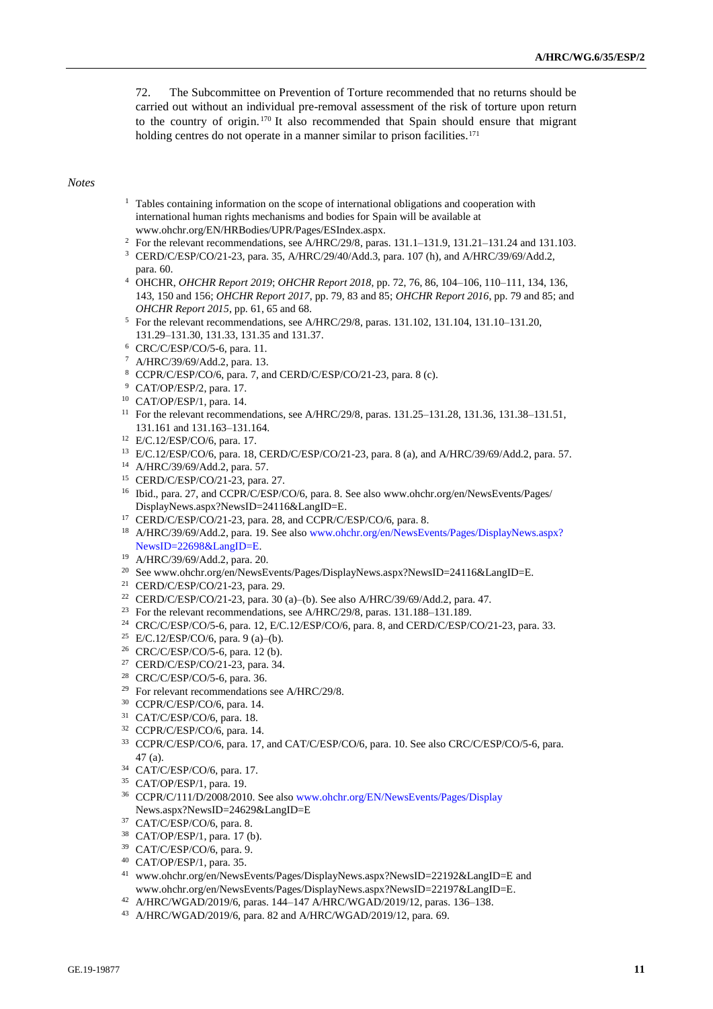72. The Subcommittee on Prevention of Torture recommended that no returns should be carried out without an individual pre-removal assessment of the risk of torture upon return to the country of origin. <sup>170</sup> It also recommended that Spain should ensure that migrant holding centres do not operate in a manner similar to prison facilities.<sup>171</sup>

#### *Notes*

- <sup>1</sup> Tables containing information on the scope of international obligations and cooperation with international human rights mechanisms and bodies for Spain will be available at [www.ohchr.org/EN/HRBodies/UPR/Pages/ESIndex.aspx.](http://www.ohchr.org/EN/HRBodies/UPR/Pages/ESIndex.aspx)
- <sup>2</sup> For the relevant recommendations, see A/HRC/29/8, paras. 131.1–131.9, 131.21–131.24 and 131.103.
- <sup>3</sup> CERD/C/ESP/CO/21-23, para. 35, A/HRC/29/40/Add.3, para. 107 (h), and A/HRC/39/69/Add.2, para. 60.
- <sup>4</sup> OHCHR, *OHCHR Report 2019*; *OHCHR Report 2018*, pp. 72, 76, 86, 104–106, 110–111, 134, 136, 143, 150 and 156; *OHCHR Report 2017*, pp. 79, 83 and 85; *OHCHR Report 2016*, pp. 79 and 85; and *OHCHR Report 2015*, pp. 61, 65 and 68.
- <sup>5</sup> For the relevant recommendations, see A/HRC/29/8, paras. 131.102, 131.104, 131.10–131.20, 131.29–131.30, 131.33, 131.35 and 131.37.
- <sup>6</sup> CRC/C/ESP/CO/5-6, para. 11.
- <sup>7</sup> A/HRC/39/69/Add.2, para. 13.
- <sup>8</sup> CCPR/C/ESP/CO/6, para. 7, and CERD/C/ESP/CO/21-23, para. 8 (c).
- <sup>9</sup> CAT/OP/ESP/2, para. 17.
- <sup>10</sup> CAT/OP/ESP/1, para. 14.
- <sup>11</sup> For the relevant recommendations, see A/HRC/29/8, paras. 131.25–131.28, 131.36, 131.38–131.51, 131.161 and 131.163–131.164.
- <sup>12</sup> E/C.12/ESP/CO/6, para. 17.
- <sup>13</sup> E/C.12/ESP/CO/6, para. 18, CERD/C/ESP/CO/21-23, para. 8 (a), and A/HRC/39/69/Add.2, para. 57.
- <sup>14</sup> A/HRC/39/69/Add.2, para. 57.
- <sup>15</sup> CERD/C/ESP/CO/21-23, para. 27.
- <sup>16</sup> Ibid., para. 27, and CCPR/C/ESP/CO/6, para. 8. See also www.ohchr.org/en/NewsEvents/Pages/ DisplayNews.aspx?NewsID=24116&LangID=E.
- <sup>17</sup> CERD/C/ESP/CO/21-23, para. 28, and CCPR/C/ESP/CO/6, para. 8.
- <sup>18</sup> A/HRC/39/69/Add.2, para. 19. See als[o www.ohchr.org/en/NewsEvents/Pages/DisplayNews.aspx?](http://www.ohchr.org/en/NewsEvents/Pages/DisplayNews.aspx?NewsID=22698&LangID=E) [NewsID=22698&LangID=E.](http://www.ohchr.org/en/NewsEvents/Pages/DisplayNews.aspx?NewsID=22698&LangID=E)
- <sup>19</sup> A/HRC/39/69/Add.2, para. 20.
- <sup>20</sup> See www.ohchr.org/en/NewsEvents/Pages/DisplayNews.aspx?NewsID=24116&LangID=E.
- <sup>21</sup> CERD/C/ESP/CO/21-23, para. 29.
- <sup>22</sup> CERD/C/ESP/CO/21-23, para. 30 (a)–(b). See also A/HRC/39/69/Add.2, para. 47.
- <sup>23</sup> For the relevant recommendations, see A/HRC/29/8, paras. 131.188-131.189.
- <sup>24</sup> CRC/C/ESP/CO/5-6, para. 12, E/C.12/ESP/CO/6, para. 8, and CERD/C/ESP/CO/21-23, para. 33.
- <sup>25</sup> E/C.12/ESP/CO/6, para. 9 (a)–(b).
- <sup>26</sup> CRC/C/ESP/CO/5-6, para. 12 (b).
- <sup>27</sup> CERD/C/ESP/CO/21-23, para. 34.
- <sup>28</sup> CRC/C/ESP/CO/5-6, para. 36.
- <sup>29</sup> For relevant recommendations see A/HRC/29/8.
- <sup>30</sup> CCPR/C/ESP/CO/6, para. 14.
- <sup>31</sup> CAT/C/ESP/CO/6, para. 18.
- <sup>32</sup> CCPR/C/ESP/CO/6, para. 14.
- <sup>33</sup> CCPR/C/ESP/CO/6, para. 17, and CAT/C/ESP/CO/6, para. 10. See also CRC/C/ESP/CO/5-6, para. 47 (a).
- <sup>34</sup> CAT/C/ESP/CO/6, para. 17.
- <sup>35</sup> CAT/OP/ESP/1, para. 19.
- <sup>36</sup> CCPR/C/111/D/2008/2010. See als[o www.ohchr.org/EN/NewsEvents/Pages/Display](http://www.ohchr.org/EN/NewsEvents/Pages/Display) News.aspx?NewsID=24629&LangID=E
- <sup>37</sup> CAT/C/ESP/CO/6, para. 8.
- <sup>38</sup> CAT/OP/ESP/1, para. 17 (b).
- <sup>39</sup> CAT/C/ESP/CO/6, para. 9.
- <sup>40</sup> CAT/OP/ESP/1, para. 35.
- <sup>41</sup> [www.ohchr.org/en/NewsEvents/Pages/DisplayNews.aspx?NewsID=22192&LangID=E](http://www.ohchr.org/en/NewsEvents/Pages/DisplayNews.aspx?NewsID=22192&LangID=E) and www.ohchr.org/en/NewsEvents/Pages/DisplayNews.aspx?NewsID=22197&LangID=E.
- <sup>42</sup> A/HRC/WGAD/2019/6, paras. 144–147 A/HRC/WGAD/2019/12, paras. 136–138.
- <sup>43</sup> A/HRC/WGAD/2019/6, para. 82 and A/HRC/WGAD/2019/12, para. 69.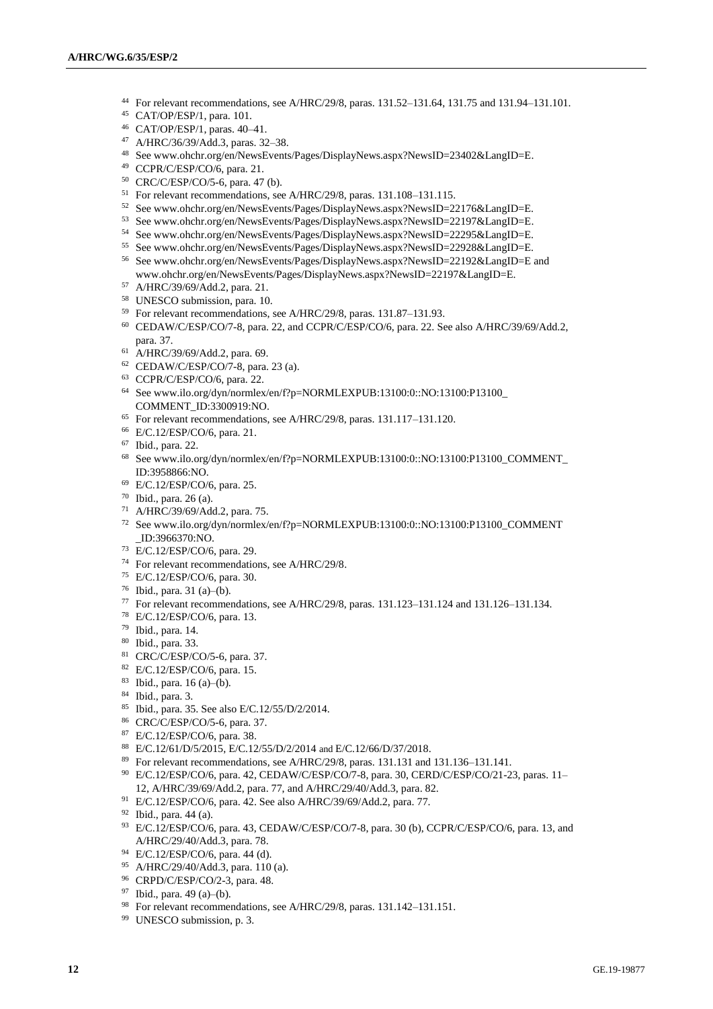- For relevant recommendations, see A/HRC/29/8, paras. 131.52–131.64, 131.75 and 131.94–131.101.
- CAT/OP/ESP/1, para. 101.
- CAT/OP/ESP/1, paras. 40–41.
- A/HRC/36/39/Add.3, paras. 32–38.
- See www.ohchr.org/en/NewsEvents/Pages/DisplayNews.aspx?NewsID=23402&LangID=E.
- CCPR/C/ESP/CO/6, para. 21.
- CRC/C/ESP/CO/5-6, para. 47 (b).
- For relevant recommendations, see A/HRC/29/8, paras. 131.108–131.115.
- See www.ohchr.org/en/NewsEvents/Pages/DisplayNews.aspx?NewsID=22176&LangID=E.
- See www.ohchr.org/en/NewsEvents/Pages/DisplayNews.aspx?NewsID=22197&LangID=E.
- See www.ohchr.org/en/NewsEvents/Pages/DisplayNews.aspx?NewsID=22295&LangID=E.
- See www.ohchr.org/en/NewsEvents/Pages/DisplayNews.aspx?NewsID=22928&LangID=E.
- See www.ohchr.org/en/NewsEvents/Pages/DisplayNews.aspx?NewsID=22192&LangID=E and www.ohchr.org/en/NewsEvents/Pages/DisplayNews.aspx?NewsID=22197&LangID=E.
- A/HRC/39/69/Add.2, para. 21.
- UNESCO submission, para. 10.
- For relevant recommendations, see A/HRC/29/8, paras. 131.87–131.93.
- CEDAW/C/ESP/CO/7-8, para. 22, and CCPR/C/ESP/CO/6, para. 22. See also A/HRC/39/69/Add.2, para. 37.
- A/HRC/39/69/Add.2, para. 69.
- CEDAW/C/ESP/CO/7-8, para. 23 (a).
- CCPR/C/ESP/CO/6, para. 22.
- Se[e www.ilo.org/dyn/normlex/en/f?p=NORMLEXPUB:](http://www.ilo.org/dyn/normlex/en/f?p=NORMLEXPUB)13100:0::NO:13100:P13100\_ COMMENT\_ID:3300919:NO.
- For relevant recommendations, see A/HRC/29/8, paras. 131.117–131.120.
- E/C.12/ESP/CO/6, para. 21.
- Ibid., para. 22.
- See www.ilo.org/dyn/normlex/en/f?p=NORMLEXPUB:13100:0::NO:13100:P13100\_COMMENT\_ ID:3958866:NO.
- E/C.12/ESP/CO/6, para. 25.
- Ibid., para. 26 (a).
- A/HRC/39/69/Add.2, para. 75.
- See www.ilo.org/dyn/normlex/en/f?p=NORMLEXPUB:13100:0::NO:13100:P13100\_COMMENT \_ID:3966370:NO.
- E/C.12/ESP/CO/6, para. 29.
- For relevant recommendations, see A/HRC/29/8.
- E/C.12/ESP/CO/6, para. 30.
- Ibid., para. 31 (a)–(b).
- For relevant recommendations, see A/HRC/29/8, paras. 131.123–131.124 and 131.126–131.134.
- E/C.12/ESP/CO/6, para. 13.
- Ibid., para. 14.
- Ibid., para. 33.
- CRC/C/ESP/CO/5-6, para. 37.
- E/C.12/ESP/CO/6, para. 15.
- Ibid., para. 16 (a)–(b).
- Ibid., para. 3.
- Ibid., para. 35. See also E/C.12/55/D/2/2014.
- CRC/C/ESP/CO/5-6, para. 37.
- E/C.12/ESP/CO/6, para. 38.
- E/C.12/61/D/5/2015, E/C.12/55/D/2/2014 and E/C.12/66/D/37/2018.
- For relevant recommendations, see A/HRC/29/8, paras. 131.131 and 131.136–131.141.
- E/C.12/ESP/CO/6, para. 42, CEDAW/C/ESP/CO/7-8, para. 30, CERD/C/ESP/CO/21-23, paras. 11– 12, A/HRC/39/69/Add.2, para. 77, and A/HRC/29/40/Add.3, para. 82.
- E/C.12/ESP/CO/6, para. 42. See also A/HRC/39/69/Add.2, para. 77.
- Ibid., para. 44 (a).
- E/C.12/ESP/CO/6, para. 43, CEDAW/C/ESP/CO/7-8, para. 30 (b), CCPR/C/ESP/CO/6, para. 13, and A/HRC/29/40/Add.3, para. 78.
- E/C.12/ESP/CO/6, para. 44 (d).
- A/HRC/29/40/Add.3, para. 110 (a).
- CRPD/C/ESP/CO/2-3, para. 48.
- Ibid., para. 49 (a)–(b).
- For relevant recommendations, see A/HRC/29/8, paras. 131.142–131.151.
- UNESCO submission, p. 3.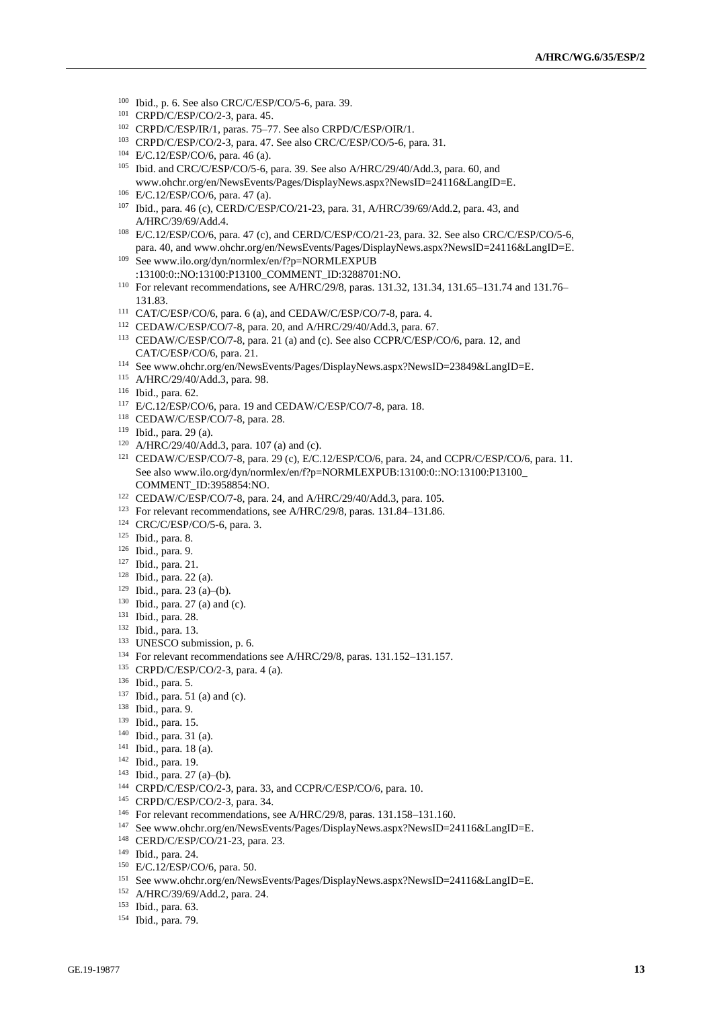- Ibid., p. 6. See also CRC/C/ESP/CO/5-6, para. 39.
- CRPD/C/ESP/CO/2-3, para. 45.
- CRPD/C/ESP/IR/1, paras. 75–77. See also CRPD/C/ESP/OIR/1.
- CRPD/C/ESP/CO/2-3, para. 47. See also CRC/C/ESP/CO/5-6, para. 31.
- E/C.12/ESP/CO/6, para. 46 (a).
- Ibid. and CRC/C/ESP/CO/5-6, para. 39. See also A/HRC/29/40/Add.3, para. 60, and [www.ohchr.org/en/NewsEvents/Pages/DisplayNews.aspx?NewsID=24116&LangID=E.](http://www.ohchr.org/en/NewsEvents/Pages/DisplayNews.aspx?NewsID=24116&LangID=E)
- E/C.12/ESP/CO/6, para. 47 (a).
- Ibid., para. 46 (c), CERD/C/ESP/CO/21-23, para. 31, A/HRC/39/69/Add.2, para. 43, and A/HRC/39/69/Add.4.
- E/C.12/ESP/CO/6, para. 47 (c), and CERD/C/ESP/CO/21-23, para. 32. See also CRC/C/ESP/CO/5-6, para. 40, and [www.ohchr.org/en/NewsEvents/Pages/DisplayNews.aspx?NewsID=24116&LangID=E.](http://www.ohchr.org/en/NewsEvents/Pages/DisplayNews.aspx?NewsID=24116&LangID=E)
- See www.ilo.org/dyn/normlex/en/f?p=NORMLEXPUB :13100:0::NO:13100:P13100\_COMMENT\_ID:3288701:NO.
- For relevant recommendations, see A/HRC/29/8, paras. 131.32, 131.34, 131.65–131.74 and 131.76– 131.83.
- CAT/C/ESP/CO/6, para. 6 (a), and CEDAW/C/ESP/CO/7-8, para. 4.
- CEDAW/C/ESP/CO/7-8, para. 20, and A/HRC/29/40/Add.3, para. 67.
- CEDAW/C/ESP/CO/7-8, para. 21 (a) and (c). See also CCPR/C/ESP/CO/6, para. 12, and CAT/C/ESP/CO/6, para. 21.
- See www.ohchr.org/en/NewsEvents/Pages/DisplayNews.aspx?NewsID=23849&LangID=E.
- A/HRC/29/40/Add.3, para. 98.
- Ibid., para. 62.
- E/C.12/ESP/CO/6, para. 19 and CEDAW/C/ESP/CO/7-8, para. 18.
- CEDAW/C/ESP/CO/7-8, para. 28.
- Ibid., para. 29 (a).
- A/HRC/29/40/Add.3, para. 107 (a) and (c).
- CEDAW/C/ESP/CO/7-8, para. 29 (c), E/C.12/ESP/CO/6, para. 24, and CCPR/C/ESP/CO/6, para. 11. See also www.ilo.org/dyn/normlex/en/f?p=NORMLEXPUB:13100:0::NO:13100:P13100\_ COMMENT\_ID:3958854:NO.
- CEDAW/C/ESP/CO/7-8, para. 24, and A/HRC/29/40/Add.3, para. 105.
- For relevant recommendations, see A/HRC/29/8, paras. 131.84–131.86.
- CRC/C/ESP/CO/5-6, para. 3.
- Ibid., para. 8.
- Ibid., para. 9.
- Ibid., para. 21.
- Ibid., para. 22 (a).
- Ibid., para. 23 (a)–(b).
- Ibid., para. 27 (a) and (c).
- Ibid., para. 28.
- Ibid., para. 13.
- UNESCO submission, p. 6.
- For relevant recommendations see A/HRC/29/8, paras. 131.152–131.157.
- CRPD/C/ESP/CO/2-3, para. 4 (a).
- Ibid., para. 5.
- Ibid., para. 51 (a) and (c).
- Ibid., para. 9.
- Ibid., para. 15.
- Ibid., para. 31 (a).
- Ibid., para. 18 (a).
- Ibid., para. 19.
- Ibid., para. 27 (a)–(b).
- CRPD/C/ESP/CO/2-3, para. 33, and CCPR/C/ESP/CO/6, para. 10.
- CRPD/C/ESP/CO/2-3, para. 34.
- For relevant recommendations, see A/HRC/29/8, paras. 131.158–131.160.
- See www.ohchr.org/en/NewsEvents/Pages/DisplayNews.aspx?NewsID=24116&LangID=E.
- CERD/C/ESP/CO/21-23, para. 23.
- Ibid., para. 24.
- E/C.12/ESP/CO/6, para. 50.
- See www.ohchr.org/en/NewsEvents/Pages/DisplayNews.aspx?NewsID=24116&LangID=E.
- A/HRC/39/69/Add.2, para. 24.
- Ibid., para. 63.
- Ibid., para. 79.